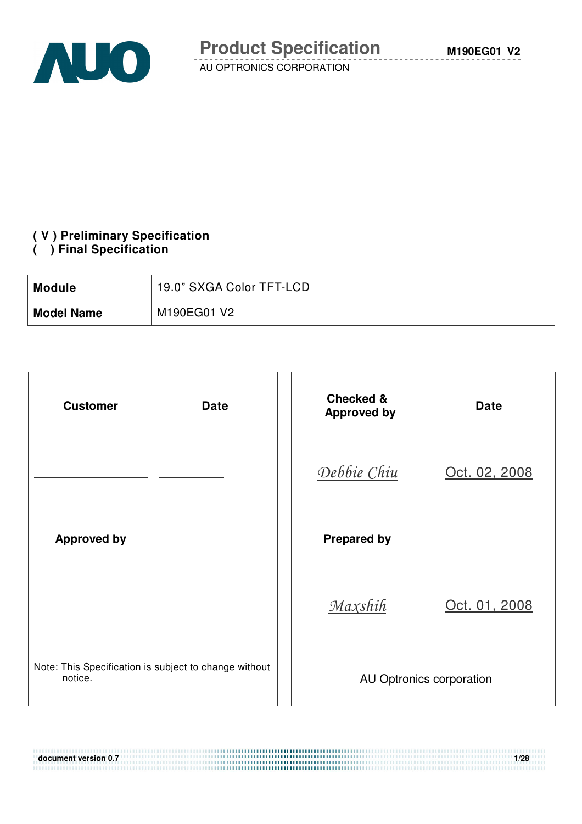

**M190EG01 V2**

AU OPTRONICS CORPORATION

# **( V ) Preliminary Specification**

#### **( ) Final Specification**

| <b>Module</b>     | 19.0" SXGA Color TFT-LCD |
|-------------------|--------------------------|
| <b>Model Name</b> | M190EG01 V2              |

| <b>Customer</b><br><b>Date</b>                                   | <b>Checked &amp;</b><br><b>Date</b><br><b>Approved by</b> |
|------------------------------------------------------------------|-----------------------------------------------------------|
|                                                                  | Debbie Chiu<br>Oct. 02, 2008                              |
| <b>Approved by</b>                                               | <b>Prepared by</b>                                        |
|                                                                  | Maxshih<br>Oct. 01, 2008                                  |
| Note: This Specification is subject to change without<br>notice. | AU Optronics corporation                                  |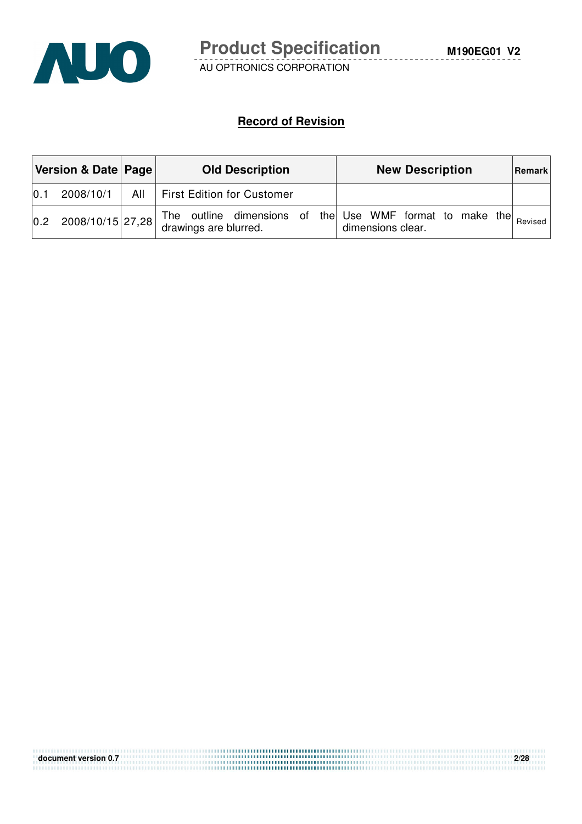

#### **Record of Revision**

| Version & Date   Page  <br><b>Old Description</b> |                  |     | <b>New Description</b>                                                                                 | Remark  |
|---------------------------------------------------|------------------|-----|--------------------------------------------------------------------------------------------------------|---------|
| 0.1                                               | 2008/10/1        | All | First Edition for Customer                                                                             |         |
| 0.2                                               | 2008/10/15 27,28 |     | The outline dimensions of the Use WMF format to make the<br>drawings are blurred.<br>dimensions clear. | Revised |

| document version 0.7 | 2/28 |
|----------------------|------|
|                      |      |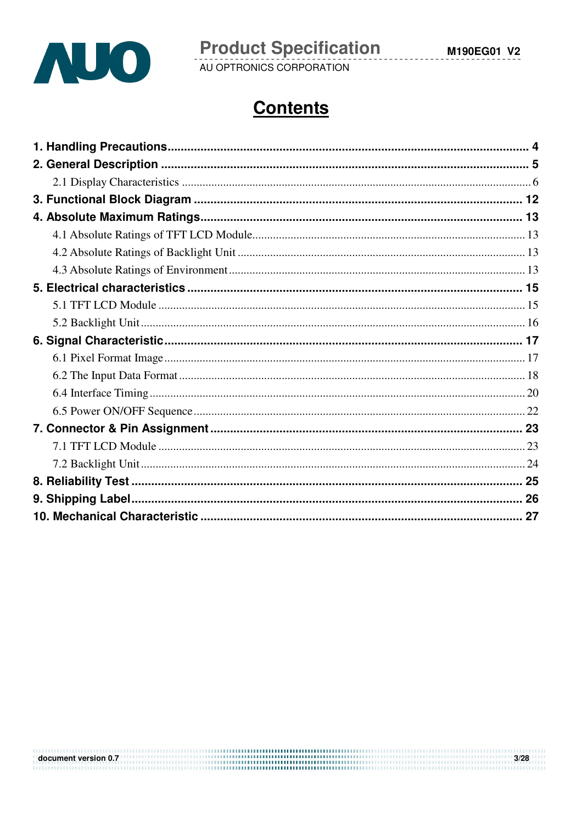

**Product Specification**<br>AU OPTRONICS CORPORATION

 $3/28$ 

# **Contents**

document version 0.7 **and 2.0** and 2.0 and 2.0 and 2.0 and 2.0 and 2.0 and 2.0 and 2.0 and 2.0 and 2.0 and 2.0 and 2.0 and 2.0 and 2.0 and 2.0 and 2.0 and 2.0 and 2.0 and 2.0 and 2.0 and 2.0 and 2.0 and 2.0 and 2.0 and 2.0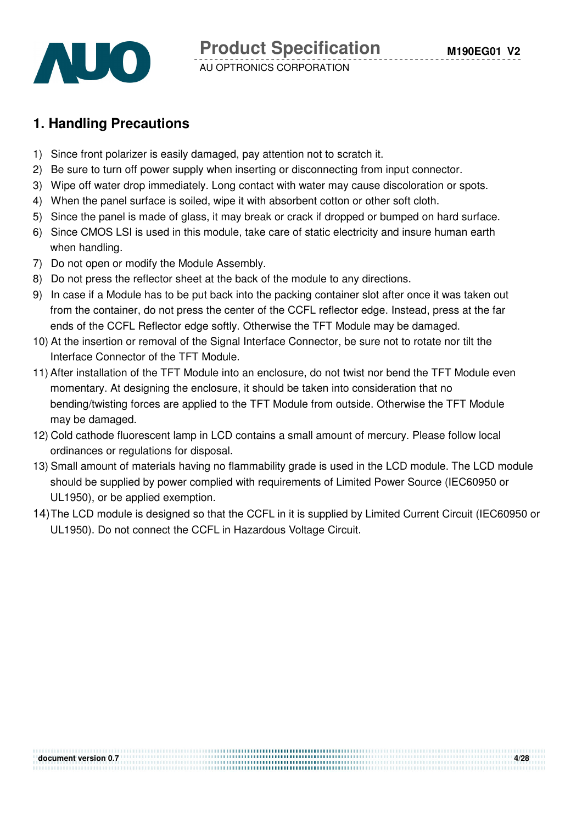

## **1. Handling Precautions**

- 1) Since front polarizer is easily damaged, pay attention not to scratch it.
- 2) Be sure to turn off power supply when inserting or disconnecting from input connector.
- 3) Wipe off water drop immediately. Long contact with water may cause discoloration or spots.
- 4) When the panel surface is soiled, wipe it with absorbent cotton or other soft cloth.
- 5) Since the panel is made of glass, it may break or crack if dropped or bumped on hard surface.
- 6) Since CMOS LSI is used in this module, take care of static electricity and insure human earth when handling.
- 7) Do not open or modify the Module Assembly.
- 8) Do not press the reflector sheet at the back of the module to any directions.
- 9) In case if a Module has to be put back into the packing container slot after once it was taken out from the container, do not press the center of the CCFL reflector edge. Instead, press at the far ends of the CCFL Reflector edge softly. Otherwise the TFT Module may be damaged.
- 10) At the insertion or removal of the Signal Interface Connector, be sure not to rotate nor tilt the Interface Connector of the TFT Module.
- 11) After installation of the TFT Module into an enclosure, do not twist nor bend the TFT Module even momentary. At designing the enclosure, it should be taken into consideration that no bending/twisting forces are applied to the TFT Module from outside. Otherwise the TFT Module may be damaged.
- 12) Cold cathode fluorescent lamp in LCD contains a small amount of mercury. Please follow local ordinances or regulations for disposal.
- 13) Small amount of materials having no flammability grade is used in the LCD module. The LCD module should be supplied by power complied with requirements of Limited Power Source (IEC60950 or UL1950), or be applied exemption.
- 14) The LCD module is designed so that the CCFL in it is supplied by Limited Current Circuit (IEC60950 or UL1950). Do not connect the CCFL in Hazardous Voltage Circuit.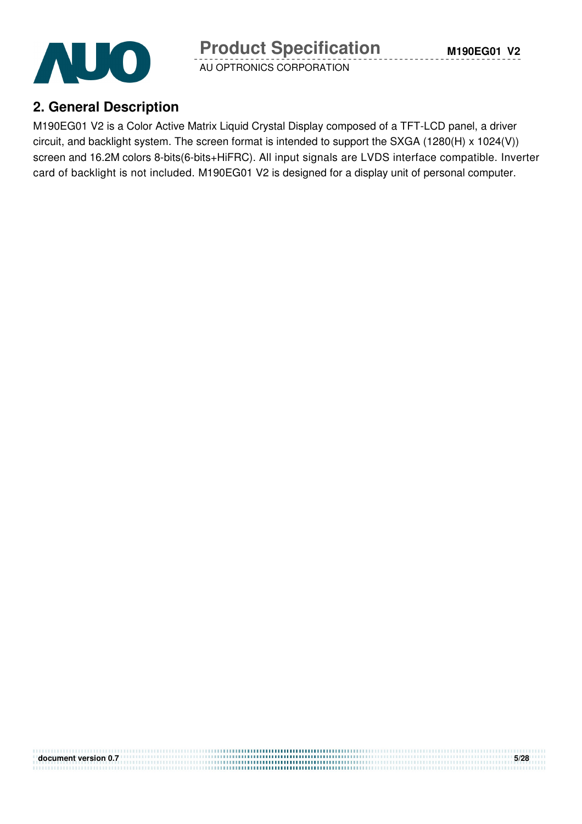AUO

AU OPTRONICS CORPORATION

# **2. General Description**

M190EG01 V2 is a Color Active Matrix Liquid Crystal Display composed of a TFT-LCD panel, a driver circuit, and backlight system. The screen format is intended to support the SXGA (1280(H) x 1024(V)) screen and 16.2M colors 8-bits(6-bits+HiFRC). All input signals are LVDS interface compatible. Inverter card of backlight is not included. M190EG01 V2 is designed for a display unit of personal computer.

| document version 0.7 | 5/28 |
|----------------------|------|
|                      |      |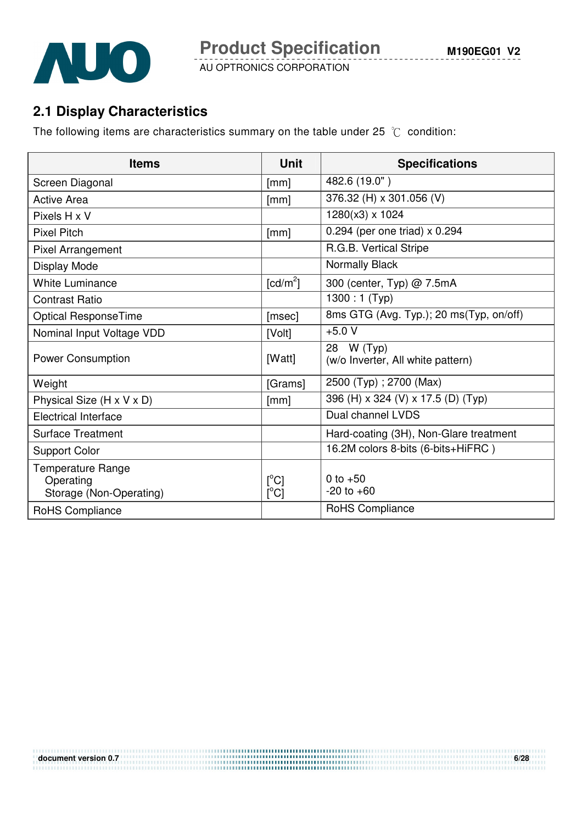

**M190EG01 V2**



AU OPTRONICS CORPORATION

# **2.1 Display Characteristics**

The following items are characteristics summary on the table under 25  $\degree$ C condition:

| <b>Items</b>                                                     | <b>Unit</b>                       | <b>Specifications</b>                           |
|------------------------------------------------------------------|-----------------------------------|-------------------------------------------------|
| Screen Diagonal                                                  | [mm]                              | 482.6 (19.0")                                   |
| <b>Active Area</b>                                               | [mm]                              | 376.32 (H) x 301.056 (V)                        |
| Pixels H x V                                                     |                                   | 1280(x3) x 1024                                 |
| <b>Pixel Pitch</b>                                               | [mm]                              | 0.294 (per one triad) $\times$ 0.294            |
| Pixel Arrangement                                                |                                   | R.G.B. Vertical Stripe                          |
| Display Mode                                                     |                                   | Normally Black                                  |
| <b>White Luminance</b>                                           | $\lceil cd/m^2 \rceil$            | 300 (center, Typ) @ 7.5mA                       |
| <b>Contrast Ratio</b>                                            |                                   | 1300 : 1 (Typ)                                  |
| Optical ResponseTime                                             | [msec]                            | 8ms GTG (Avg. Typ.); 20 ms(Typ, on/off)         |
| Nominal Input Voltage VDD                                        | [Volt]                            | $+5.0V$                                         |
| <b>Power Consumption</b>                                         | [Watt]                            | 28 W (Typ)<br>(w/o Inverter, All white pattern) |
| Weight                                                           | [Grams]                           | 2500 (Typ); 2700 (Max)                          |
| Physical Size (H x V x D)                                        | [mm]                              | 396 (H) x 324 (V) x 17.5 (D) (Typ)              |
| <b>Electrical Interface</b>                                      |                                   | Dual channel LVDS                               |
| <b>Surface Treatment</b>                                         |                                   | Hard-coating (3H), Non-Glare treatment          |
| <b>Support Color</b>                                             |                                   | 16.2M colors 8-bits (6-bits+HiFRC)              |
| <b>Temperature Range</b><br>Operating<br>Storage (Non-Operating) | $\lceil{^{\circ}C}\rceil$<br>[°C] | 0 to $+50$<br>$-20$ to $+60$                    |
| RoHS Compliance                                                  |                                   | RoHS Compliance                                 |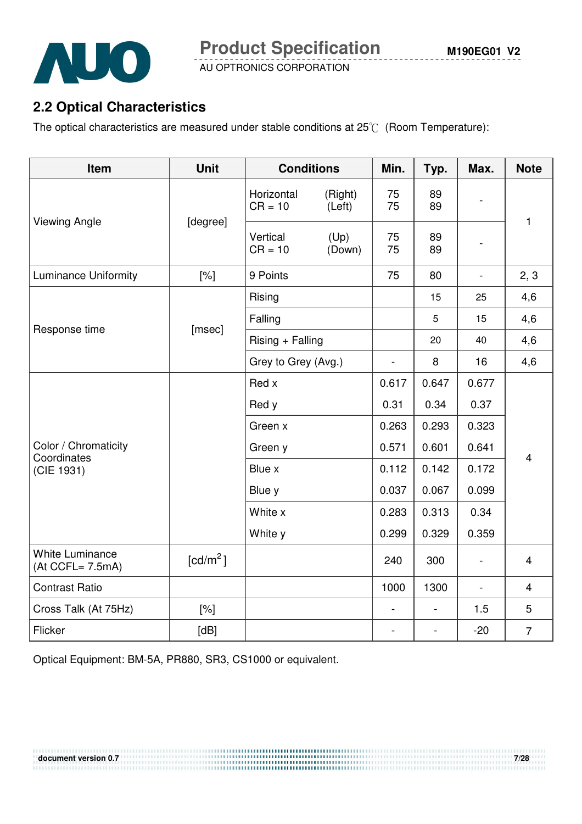

# **2.2 Optical Characteristics**

The optical characteristics are measured under stable conditions at  $25^{\circ}$  (Room Temperature):

| Item                                          | <b>Unit</b>          | <b>Conditions</b>       |                   | Min.                     | Typ.                     | Max.                     | <b>Note</b>    |  |
|-----------------------------------------------|----------------------|-------------------------|-------------------|--------------------------|--------------------------|--------------------------|----------------|--|
| <b>Viewing Angle</b>                          | [degree]             | Horizontal<br>$CR = 10$ | (Right)<br>(Left) | 75<br>75                 | 89<br>89                 |                          | $\mathbf{1}$   |  |
|                                               |                      | Vertical<br>$CR = 10$   | (Up)<br>(Down)    | 75<br>75                 | 89<br>89                 |                          |                |  |
| <b>Luminance Uniformity</b>                   | $[\%]$               | 9 Points                |                   | 75                       | 80                       | $\overline{\phantom{a}}$ | 2, 3           |  |
|                                               |                      | Rising                  |                   |                          | 15                       | 25                       | 4,6            |  |
|                                               |                      | Falling                 |                   |                          | 5                        | 15                       | 4,6            |  |
| Response time                                 | [msec]               | $Rising + Falling$      |                   |                          | 20                       | 40                       | 4,6            |  |
|                                               |                      | Grey to Grey (Avg.)     |                   | $\overline{\phantom{0}}$ | 8                        | 16                       | 4,6            |  |
|                                               |                      | Red x                   |                   | 0.617                    | 0.647                    | 0.677                    |                |  |
|                                               |                      | Red y                   |                   | 0.31                     | 0.34                     | 0.37                     |                |  |
|                                               |                      | Green x                 |                   | 0.263                    | 0.293                    | 0.323                    |                |  |
| Color / Chromaticity<br>Coordinates           |                      | Green y                 |                   | 0.571                    | 0.601                    | 0.641                    | $\overline{4}$ |  |
| (CIE 1931)                                    |                      | Blue x                  |                   | 0.112                    | 0.142                    | 0.172                    |                |  |
|                                               |                      | Blue y                  |                   | 0.037                    | 0.067                    | 0.099                    |                |  |
|                                               |                      | White x                 |                   | 0.283                    | 0.313                    | 0.34                     |                |  |
|                                               |                      | White y                 |                   | 0.299                    | 0.329                    | 0.359                    |                |  |
| <b>White Luminance</b><br>$(At CCFL = 7.5mA)$ | [cd/m <sup>2</sup> ] |                         |                   | 240                      | 300                      | $\overline{a}$           | $\overline{4}$ |  |
| <b>Contrast Ratio</b>                         |                      |                         |                   | 1000                     | 1300                     | $\overline{\phantom{a}}$ | $\overline{4}$ |  |
| Cross Talk (At 75Hz)                          | $[\%]$               |                         |                   | $\overline{a}$           | $\overline{\phantom{0}}$ | 1.5                      | 5              |  |
| Flicker                                       | [dB]                 |                         |                   |                          |                          | $-20$                    | $\overline{7}$ |  |

Optical Equipment: BM-5A, PR880, SR3, CS1000 or equivalent.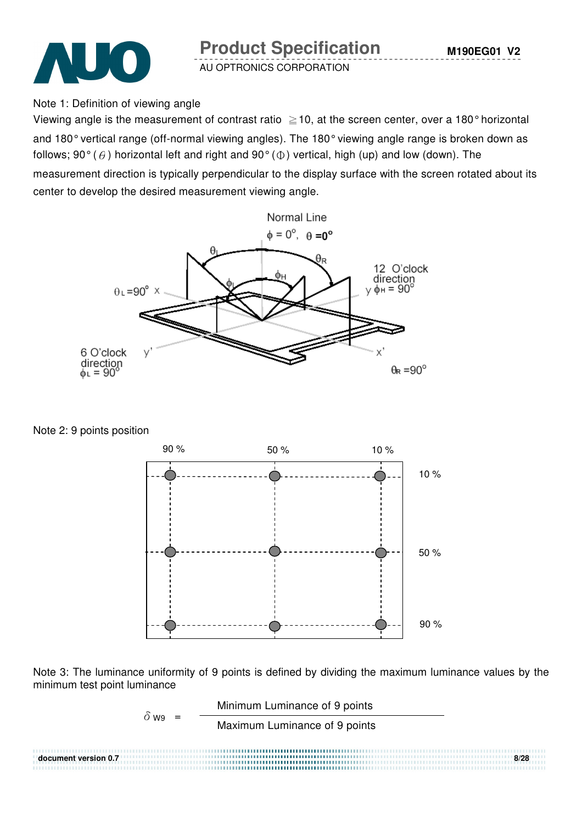



Note 1: Definition of viewing angle

Viewing angle is the measurement of contrast ratio  $\geq$  10, at the screen center, over a 180° horizontal and 180° vertical range (off-normal viewing angles). The 180° viewing angle range is broken down as follows; 90° ( $\theta$ ) horizontal left and right and 90° ( $\Phi$ ) vertical, high (up) and low (down). The

measurement direction is typically perpendicular to the display surface with the screen rotated about its center to develop the desired measurement viewing angle.



Note 2: 9 points position



Note 3: The luminance uniformity of 9 points is defined by dividing the maximum luminance values by the minimum test point luminance

$$
\delta_{W9} = \frac{\text{Minimum Luminance of 9 points}}{\text{Maximum Luminance of 9 points}}
$$
\ndocument version 0.7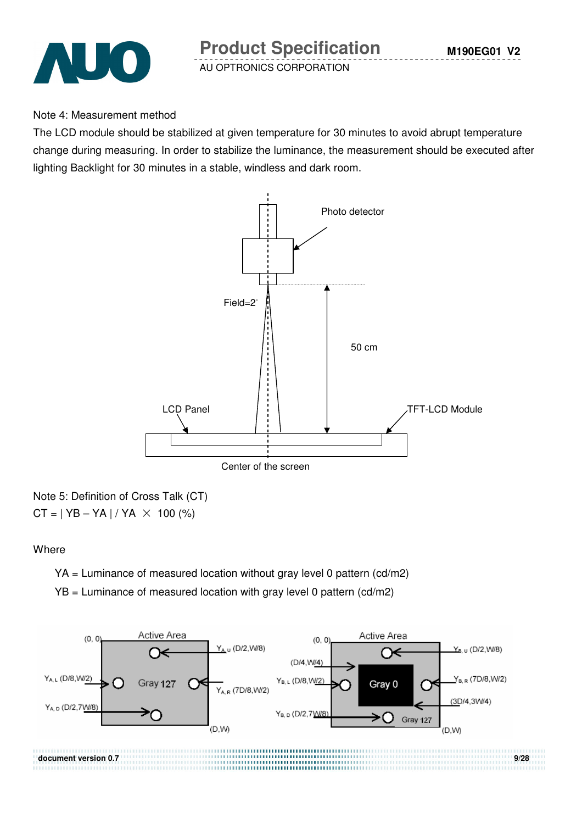

#### Note 4: Measurement method

The LCD module should be stabilized at given temperature for 30 minutes to avoid abrupt temperature change during measuring. In order to stabilize the luminance, the measurement should be executed after lighting Backlight for 30 minutes in a stable, windless and dark room.



Note 5: Definition of Cross Talk (CT)  $CT = | YB - YA | / YA \times 100 (%)$ 

#### **Where**

YA = Luminance of measured location without gray level 0 pattern (cd/m2)

 $YB =$  Luminance of measured location with gray level 0 pattern (cd/m2)

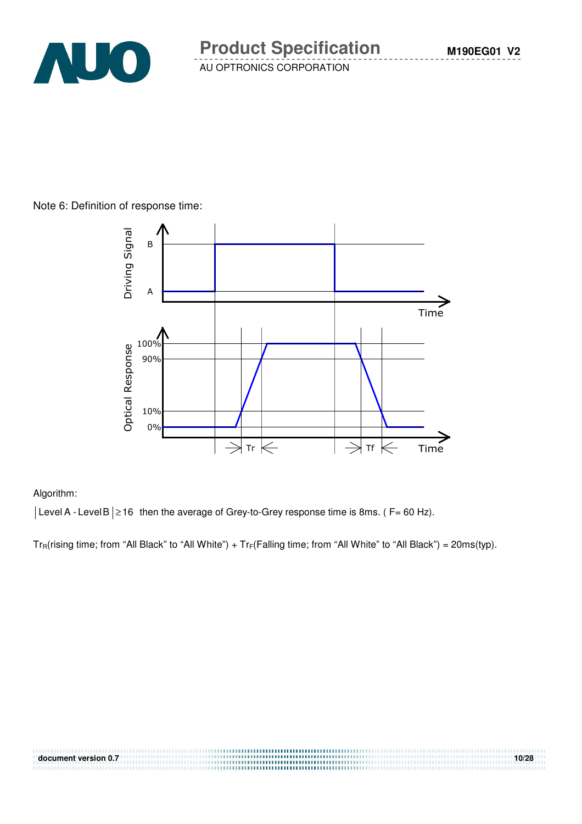

#### Note 6: Definition of response time:



#### Algorithm:

 $|\text{Level A - Level B}| \ge 16$  then the average of Grey-to-Grey response time is 8ms. (F= 60 Hz).

 $Tr_R(rising time; from "All Black" to "All White") + Tr_F(Falling time; from "All White" to "All Black") = 20ms(typ).$ 

| document version 0.7 | 10/28 |
|----------------------|-------|
|                      |       |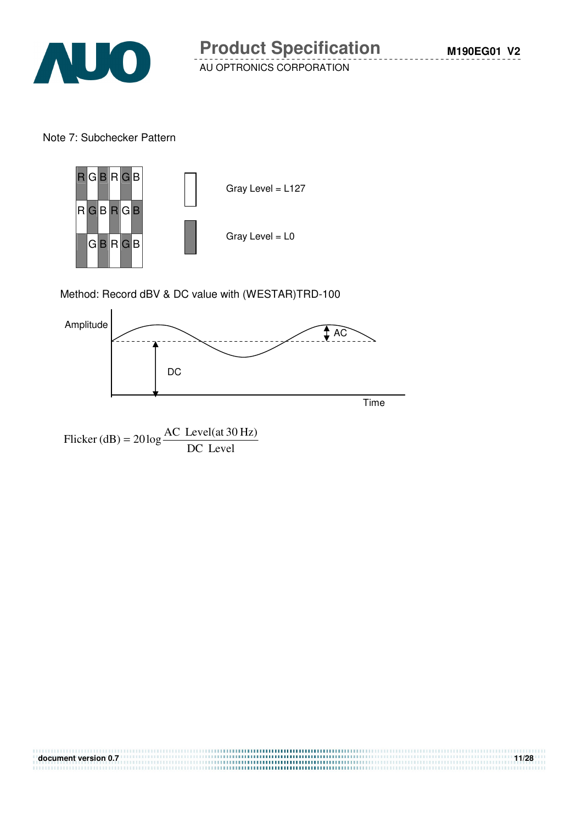

Note 7: Subchecker Pattern



Method: Record dBV & DC value with (WESTAR)TRD-100



Flicker (dB) =  $20 \log \frac{1000 \text{ GeV}}{DC}$  Level Flicker (dB) =  $20 \log \frac{\text{AC Level(at 30 Hz)}}{\text{DG L}}$ 

| document version 0.7 | 11/28 |
|----------------------|-------|
|                      |       |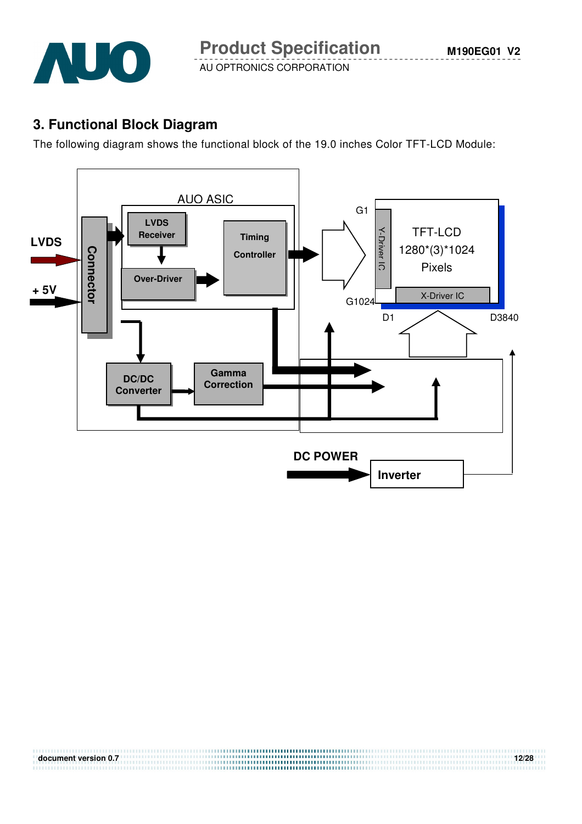

**M190EG01 V2**

AU OPTRONICS CORPORATION

# **3. Functional Block Diagram**

The following diagram shows the functional block of the 19.0 inches Color TFT-LCD Module:



**document version 0.7 12/28**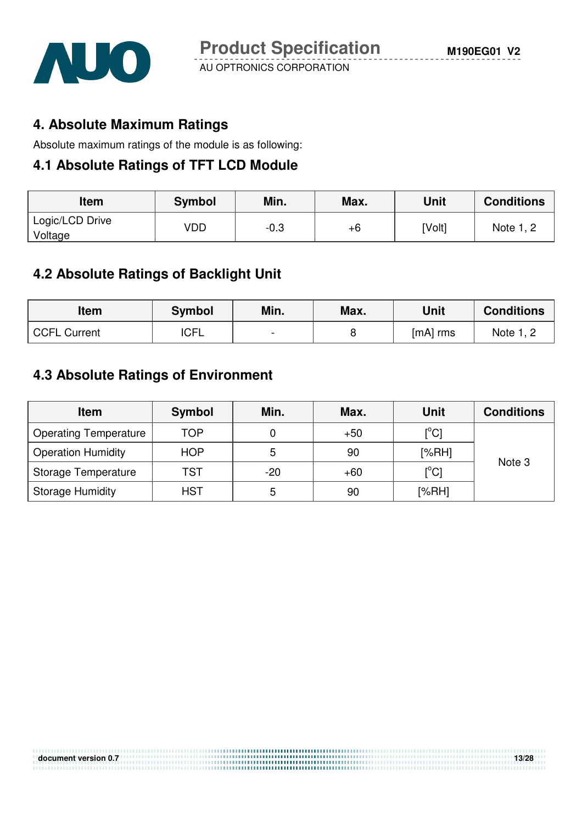

### **4. Absolute Maximum Ratings**

Absolute maximum ratings of the module is as following:

#### **4.1 Absolute Ratings of TFT LCD Module**

| ltem                       | <b>Symbol</b> | Min. | Max. | Unit   | <b>Conditions</b> |
|----------------------------|---------------|------|------|--------|-------------------|
| Logic/LCD Drive<br>Voltage | VDD           | -0.3 | +6   | [Volt] | Note 1, 2         |

### **4.2 Absolute Ratings of Backlight Unit**

| <b>Item</b>         | <b>Symbol</b> | Min.           | Max. | Unit       | <b>Conditions</b> |
|---------------------|---------------|----------------|------|------------|-------------------|
| <b>CCFL Current</b> | <b>ICFL</b>   | $\blacksquare$ |      | $[mA]$ rms | Note 1, 2         |

# **4.3 Absolute Ratings of Environment**

| <b>Item</b>                  | Symbol     | Min.  | Max.  | Unit                       | <b>Conditions</b> |
|------------------------------|------------|-------|-------|----------------------------|-------------------|
| <b>Operating Temperature</b> | TOP        |       | $+50$ | $\mathop{\rm [^{\circ}Cl}$ |                   |
| <b>Operation Humidity</b>    | <b>HOP</b> | 5     | 90    | [%RH]                      | Note 3            |
| Storage Temperature          | TST        | $-20$ | $+60$ | $\mathop{\rm l}{\rm ^oCl}$ |                   |
| <b>Storage Humidity</b>      | <b>HST</b> | 5     | 90    | [%RH]                      |                   |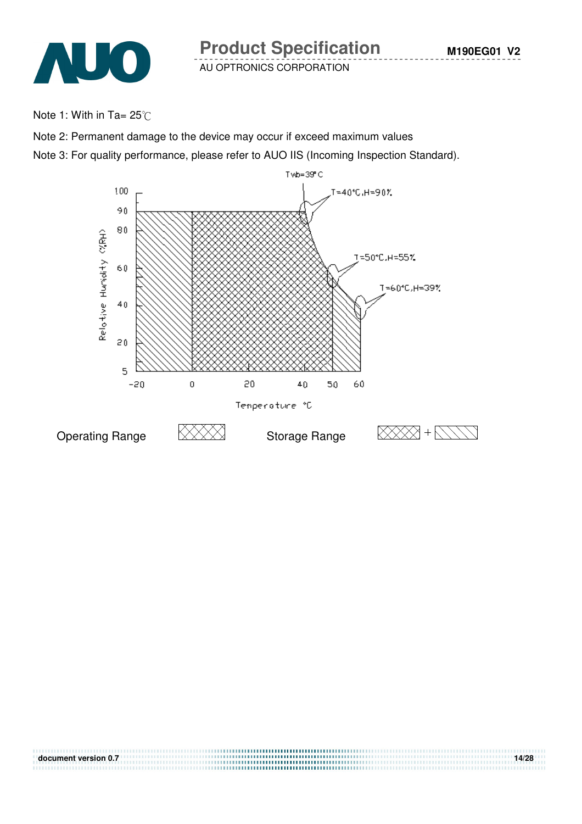

Note 1: With in Ta=  $25^{\circ}$ C

Note 2: Permanent damage to the device may occur if exceed maximum values

Note 3: For quality performance, please refer to AUO IIS (Incoming Inspection Standard).

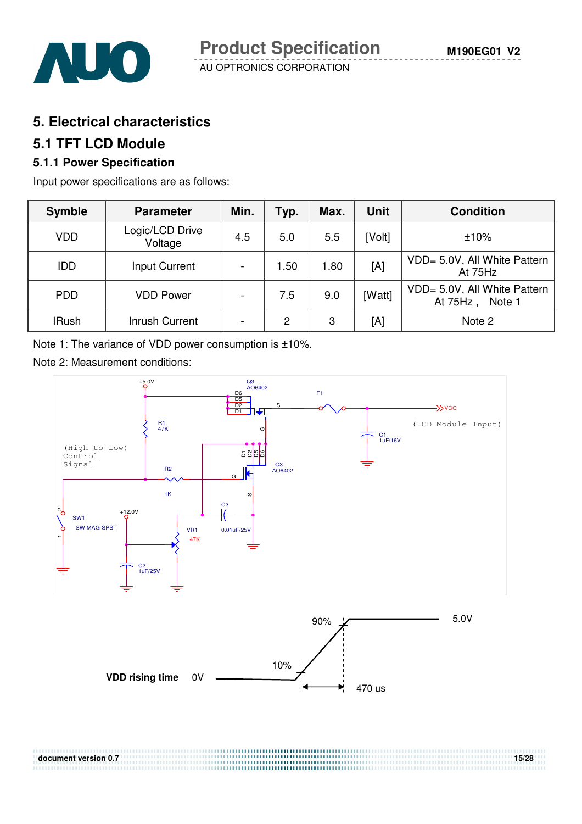

### **5. Electrical characteristics**

#### **5.1 TFT LCD Module**

### **5.1.1 Power Specification**

Input power specifications are as follows:

| <b>Symble</b> | <b>Parameter</b>           | Min.                     | Typ. | Max. | <b>Unit</b> | <b>Condition</b>                                      |
|---------------|----------------------------|--------------------------|------|------|-------------|-------------------------------------------------------|
| <b>VDD</b>    | Logic/LCD Drive<br>Voltage | 4.5                      | 5.0  | 5.5  | [Volt]      | ±10%                                                  |
| <b>IDD</b>    | Input Current              | $\overline{\phantom{a}}$ | 1.50 | 1.80 | [A]         | VDD= 5.0V, All White Pattern<br>At 75Hz               |
| <b>PDD</b>    | <b>VDD Power</b>           | $\blacksquare$           | 7.5  | 9.0  | [Watt]      | VDD= 5.0V, All White Pattern<br>At $75Hz$ ,<br>Note 1 |
| <b>IRush</b>  | Inrush Current             | $\overline{\phantom{a}}$ | 2    | 3    | [A]         | Note 2                                                |

Note 1: The variance of VDD power consumption is ±10%.

Note 2: Measurement conditions:



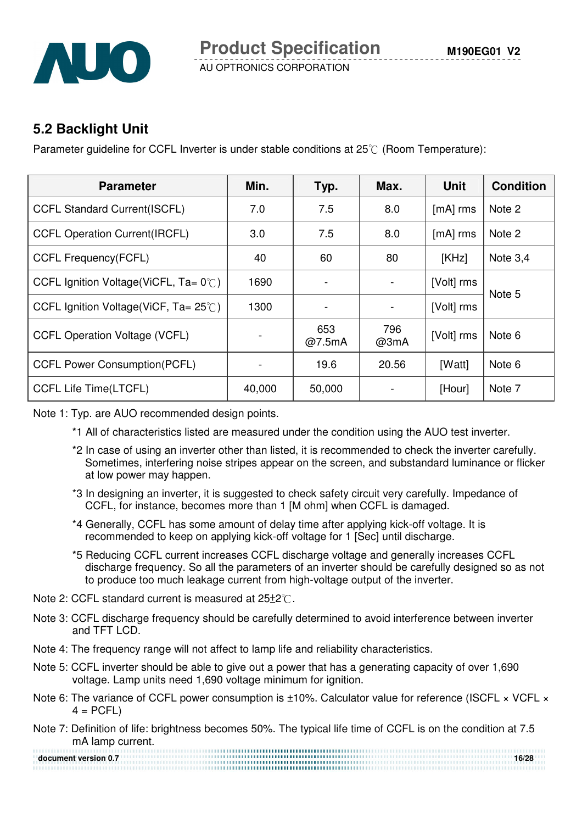

### **5.2 Backlight Unit**

Parameter quideline for CCFL Inverter is under stable conditions at  $25\degree$  (Room Temperature):

| <b>Parameter</b>                                 | Min.   | Typ.          | Max.        | <b>Unit</b> | <b>Condition</b> |
|--------------------------------------------------|--------|---------------|-------------|-------------|------------------|
| <b>CCFL Standard Current(ISCFL)</b>              | 7.0    | 7.5           | 8.0         | $[mA]$ rms  | Note 2           |
| <b>CCFL Operation Current (IRCFL)</b>            | 3.0    | 7.5           | 8.0         | $[mA]$ rms  | Note 2           |
| <b>CCFL Frequency(FCFL)</b>                      | 40     | 60            | 80          | [KHz]       | Note $3,4$       |
| CCFL Ignition Voltage(ViCFL, $Ta = 0^{\circ}$ C) | 1690   |               |             | [Volt] rms  | Note 5           |
| CCFL Ignition Voltage(ViCF, $Ta = 25^{\circ}$ C) | 1300   |               |             | [Volt] rms  |                  |
| <b>CCFL Operation Voltage (VCFL)</b>             |        | 653<br>@7.5mA | 796<br>@3mA | [Volt] rms  | Note 6           |
| <b>CCFL Power Consumption(PCFL)</b>              |        | 19.6          | 20.56       | [Watt]      | Note 6           |
| <b>CCFL Life Time(LTCFL)</b>                     | 40,000 | 50,000        |             | [Hour]      | Note 7           |

Note 1: Typ. are AUO recommended design points.

- \*1 All of characteristics listed are measured under the condition using the AUO test inverter.
- \*2 In case of using an inverter other than listed, it is recommended to check the inverter carefully. Sometimes, interfering noise stripes appear on the screen, and substandard luminance or flicker at low power may happen.
- \*3 In designing an inverter, it is suggested to check safety circuit very carefully. Impedance of CCFL, for instance, becomes more than 1 [M ohm] when CCFL is damaged.
- \*4 Generally, CCFL has some amount of delay time after applying kick-off voltage. It is recommended to keep on applying kick-off voltage for 1 [Sec] until discharge.
- \*5 Reducing CCFL current increases CCFL discharge voltage and generally increases CCFL discharge frequency. So all the parameters of an inverter should be carefully designed so as not to produce too much leakage current from high-voltage output of the inverter.
- Note 2: CCFL standard current is measured at  $25\pm2^{\circ}$ .
- Note 3: CCFL discharge frequency should be carefully determined to avoid interference between inverter and TFT LCD.
- Note 4: The frequency range will not affect to lamp life and reliability characteristics.
- Note 5: CCFL inverter should be able to give out a power that has a generating capacity of over 1,690 voltage. Lamp units need 1,690 voltage minimum for ignition.
- Note 6: The variance of CCFL power consumption is ±10%. Calculator value for reference (ISCFL × VCFL ×  $4 = PCFL$
- Note 7: Definition of life: brightness becomes 50%. The typical life time of CCFL is on the condition at 7.5 mA lamp current.

**document version 0.7** 16/28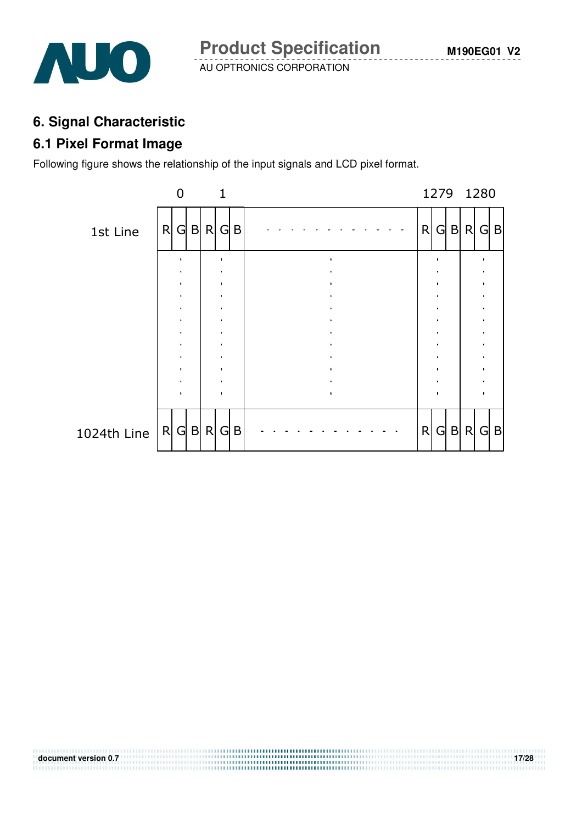

### **6. Signal Characteristic**

#### **6.1 Pixel Format Image**

Following figure shows the relationship of the input signals and LCD pixel format.



**document version 0.7** 17/28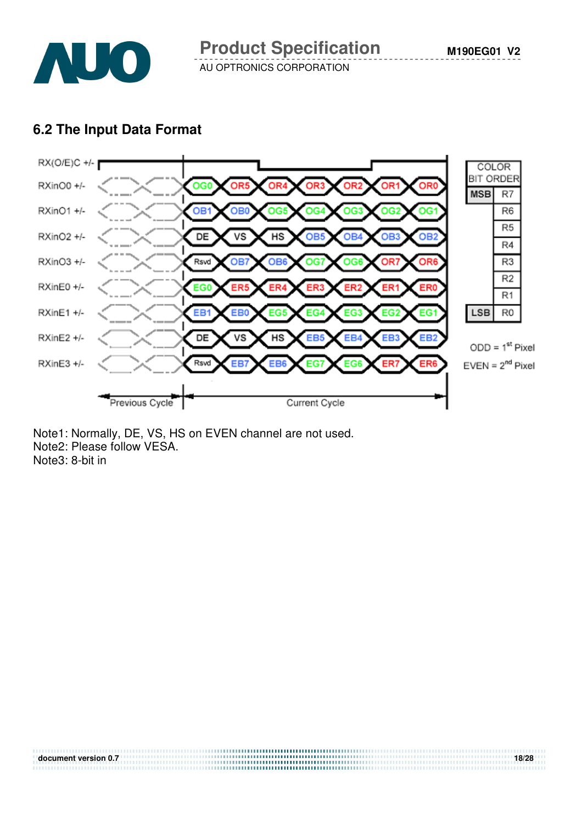

### **6.2 The Input Data Format**



**document version 0.7** 18/28

Note1: Normally, DE, VS, HS on EVEN channel are not used. Note2: Please follow VESA. Note3: 8-bit in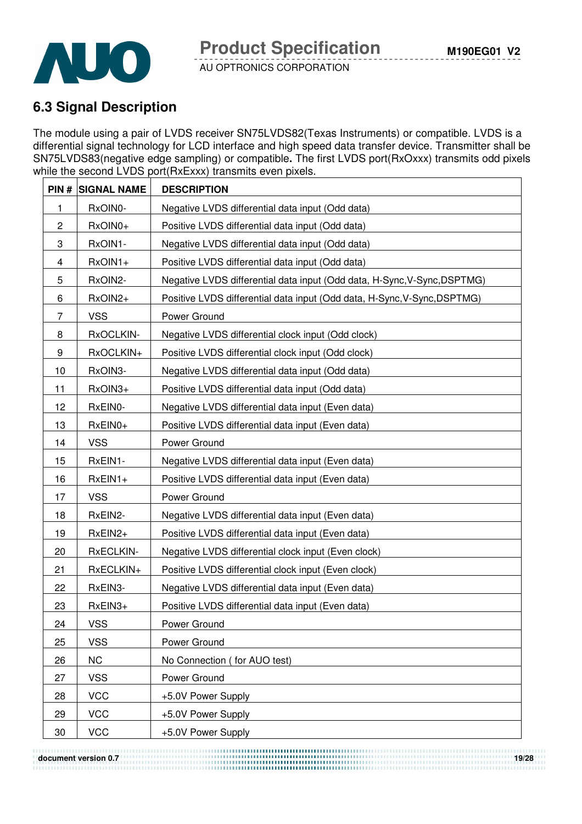

# **6.3 Signal Description**

The module using a pair of LVDS receiver SN75LVDS82(Texas Instruments) or compatible. LVDS is a differential signal technology for LCD interface and high speed data transfer device. Transmitter shall be SN75LVDS83(negative edge sampling) or compatible**.** The first LVDS port(RxOxxx) transmits odd pixels while the second LVDS port(RxExxx) transmits even pixels.

|                | <b>PIN # SIGNAL NAME</b> | <b>DESCRIPTION</b>                                                       |
|----------------|--------------------------|--------------------------------------------------------------------------|
| 1              | RxOIN0-                  | Negative LVDS differential data input (Odd data)                         |
| $\overline{c}$ | RxOIN0+                  | Positive LVDS differential data input (Odd data)                         |
| 3              | RxOIN1-                  | Negative LVDS differential data input (Odd data)                         |
| 4              | RxOIN1+                  | Positive LVDS differential data input (Odd data)                         |
| 5              | RxOIN2-                  | Negative LVDS differential data input (Odd data, H-Sync, V-Sync, DSPTMG) |
| 6              | RxOIN2+                  | Positive LVDS differential data input (Odd data, H-Sync, V-Sync, DSPTMG) |
| 7              | <b>VSS</b>               | Power Ground                                                             |
| 8              | RxOCLKIN-                | Negative LVDS differential clock input (Odd clock)                       |
| 9              | RxOCLKIN+                | Positive LVDS differential clock input (Odd clock)                       |
| 10             | RxOIN3-                  | Negative LVDS differential data input (Odd data)                         |
| 11             | RxOIN3+                  | Positive LVDS differential data input (Odd data)                         |
| 12             | RxEIN0-                  | Negative LVDS differential data input (Even data)                        |
| 13             | RxEIN0+                  | Positive LVDS differential data input (Even data)                        |
| 14             | <b>VSS</b>               | Power Ground                                                             |
| 15             | RxEIN1-                  | Negative LVDS differential data input (Even data)                        |
| 16             | $RxEIN1+$                | Positive LVDS differential data input (Even data)                        |
| 17             | <b>VSS</b>               | Power Ground                                                             |
| 18             | RxEIN2-                  | Negative LVDS differential data input (Even data)                        |
| 19             | RxEIN2+                  | Positive LVDS differential data input (Even data)                        |
| 20             | RxECLKIN-                | Negative LVDS differential clock input (Even clock)                      |
| 21             | RxECLKIN+                | Positive LVDS differential clock input (Even clock)                      |
| 22             | RxEIN3-                  | Negative LVDS differential data input (Even data)                        |
| 23             | RxEIN3+                  | Positive LVDS differential data input (Even data)                        |
| 24             | <b>VSS</b>               | Power Ground                                                             |
| 25             | <b>VSS</b>               | Power Ground                                                             |
| 26             | <b>NC</b>                | No Connection (for AUO test)                                             |
| 27             | <b>VSS</b>               | Power Ground                                                             |
| 28             | <b>VCC</b>               | +5.0V Power Supply                                                       |
| 29             | <b>VCC</b>               | +5.0V Power Supply                                                       |
| 30             | <b>VCC</b>               | +5.0V Power Supply                                                       |

**document version 0.7** 19/28<br> **document version 0.7**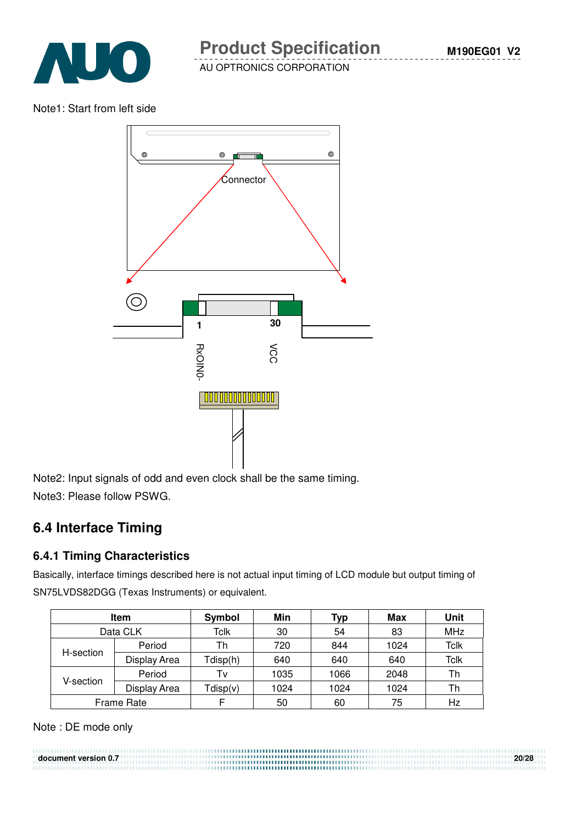

Note1: Start from left side



Note2: Input signals of odd and even clock shall be the same timing. Note3: Please follow PSWG.

# **6.4 Interface Timing**

#### **6.4.1 Timing Characteristics**

Basically, interface timings described here is not actual input timing of LCD module but output timing of SN75LVDS82DGG (Texas Instruments) or equivalent.

| Item       |              | Symbol   | Min  | Typ  | Max  | Unit       |
|------------|--------------|----------|------|------|------|------------|
| Data CLK   |              | Tclk     | 30   | 54   | 83   | <b>MHz</b> |
| H-section  | Period       | Th       | 720  | 844  | 1024 | Tclk       |
|            | Display Area | Tdisp(h) | 640  | 640  | 640  | Tclk       |
| V-section. | Period       | Tv       | 1035 | 1066 | 2048 | Th         |
|            | Display Area | Tdisp(v) | 1024 | 1024 | 1024 | Th         |
| Frame Rate |              |          | 50   | 60   | 75   | Hz         |

Note : DE mode only

**document version 0.7 20/28**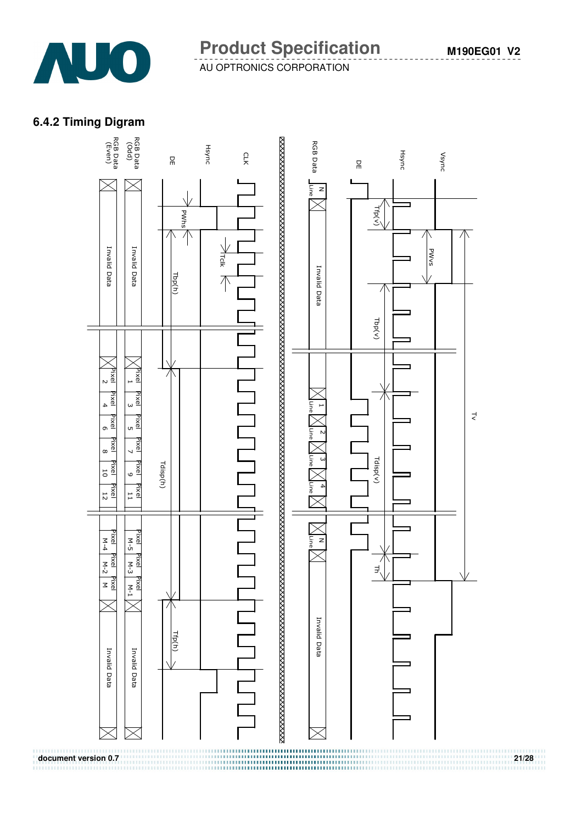

#### **6.4.2 Timing Digram**

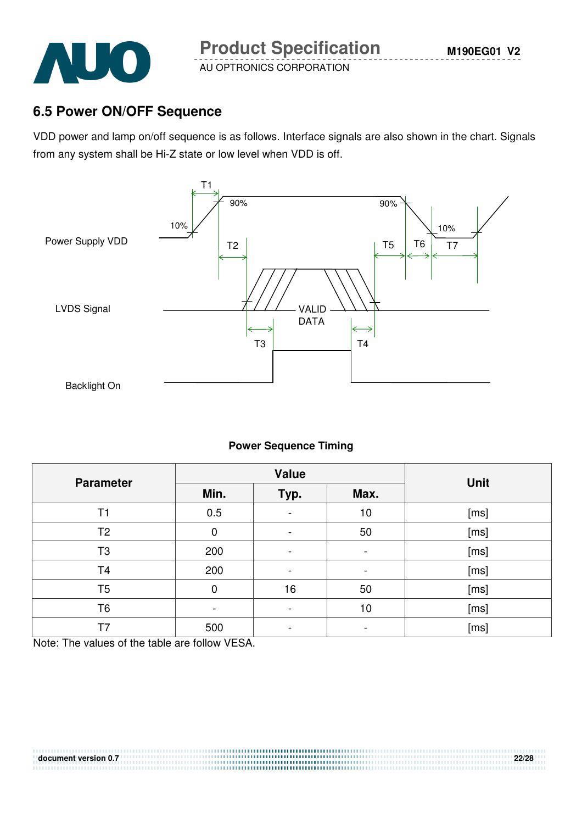

### **6.5 Power ON/OFF Sequence**

VDD power and lamp on/off sequence is as follows. Interface signals are also shown in the chart. Signals from any system shall be Hi-Z state or low level when VDD is off.



#### **Power Sequence Timing**

| <b>Parameter</b> |      | <b>Value</b>                 | <b>Unit</b>    |      |
|------------------|------|------------------------------|----------------|------|
|                  | Min. | Typ.                         | Max.           |      |
| T1               | 0.5  | $\blacksquare$               | 10             | [ms] |
| T <sub>2</sub>   | 0    | $\overline{a}$               | 50             | [ms] |
| T <sub>3</sub>   | 200  | -                            | $\blacksquare$ | [ms] |
| T <sub>4</sub>   | 200  | $\qquad \qquad \blacksquare$ | -              | [ms] |
| T <sub>5</sub>   | 0    | 16                           | 50             | [ms] |
| T6               |      | -                            | 10             | [ms] |
| T7               | 500  |                              |                | [ms] |

**document version 0.7 22/28**

Note: The values of the table are follow VESA.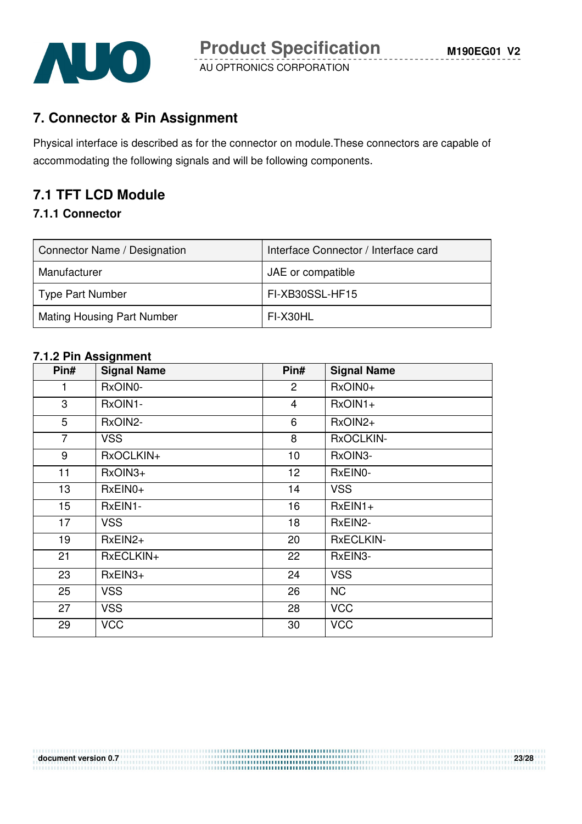

# **7. Connector & Pin Assignment**

Physical interface is described as for the connector on module.These connectors are capable of accommodating the following signals and will be following components.

# **7.1 TFT LCD Module**

#### **7.1.1 Connector**

| Connector Name / Designation      | Interface Connector / Interface card |
|-----------------------------------|--------------------------------------|
| Manufacturer                      | JAE or compatible                    |
| <b>Type Part Number</b>           | FI-XB30SSL-HF15                      |
| <b>Mating Housing Part Number</b> | FI-X30HL                             |

#### **7.1.2 Pin Assignment**

| Pin#             | <b>Signal Name</b> | Pin#           | <b>Signal Name</b> |
|------------------|--------------------|----------------|--------------------|
| 1                | RxOIN0-            | $\overline{c}$ | RxOIN0+            |
| 3                | RxOIN1-            | 4              | $RxOIN1+$          |
| 5                | RxOIN2-            | 6              | RxOIN2+            |
| $\overline{7}$   | <b>VSS</b>         | 8              | RxOCLKIN-          |
| 9                | RxOCLKIN+          | 10             | RxOIN3-            |
| 11               | RxOIN3+            | 12             | RxEIN0-            |
| 13               | RxEIN0+            | 14             | <b>VSS</b>         |
| 15 <sub>15</sub> | RxEIN1-            | 16             | $RxEIN1+$          |
| 17               | <b>VSS</b>         | 18             | RxEIN2-            |
| 19               | $RxEIN2+$          | 20             | <b>RxECLKIN-</b>   |
| 21               | RxECLKIN+          | 22             | RxEIN3-            |
| 23               | $RxEIN3+$          | 24             | <b>VSS</b>         |
| 25               | <b>VSS</b>         | 26             | <b>NC</b>          |
| 27               | <b>VSS</b>         | 28             | <b>VCC</b>         |
| 29               | <b>VCC</b>         | 30             | <b>VCC</b>         |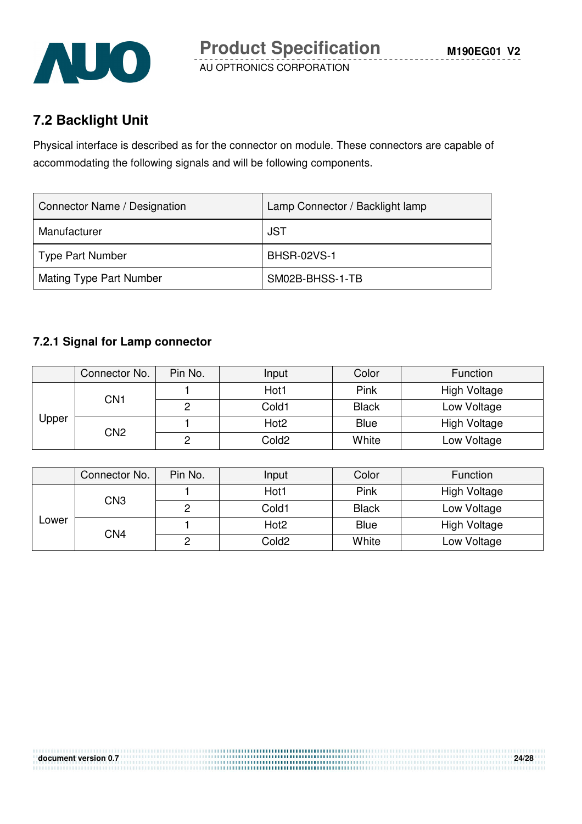

# **7.2 Backlight Unit**

Physical interface is described as for the connector on module. These connectors are capable of accommodating the following signals and will be following components.

| Connector Name / Designation   | Lamp Connector / Backlight lamp |
|--------------------------------|---------------------------------|
| Manufacturer                   | JST                             |
| Type Part Number               | <b>BHSR-02VS-1</b>              |
| <b>Mating Type Part Number</b> | SM02B-BHSS-1-TB                 |

#### **7.2.1 Signal for Lamp connector**

|       | Connector No.   | Pin No. | Input            | Color        | Function            |
|-------|-----------------|---------|------------------|--------------|---------------------|
| Upper | CN1             |         | Hot1             | Pink         | <b>High Voltage</b> |
|       |                 |         | Cold1            | <b>Black</b> | Low Voltage         |
|       | CN <sub>2</sub> |         | Hot <sub>2</sub> | <b>Blue</b>  | High Voltage        |
|       |                 |         | Cold2            | White        | Low Voltage         |

|              | Connector No. | Pin No. | Input             | Color        | Function            |
|--------------|---------------|---------|-------------------|--------------|---------------------|
| CN3<br>Lower |               |         | Hot1              | Pink         | <b>High Voltage</b> |
|              |               | ∩       | Cold1             | <b>Black</b> | Low Voltage         |
|              | CN4           |         | Hot <sub>2</sub>  | <b>Blue</b>  | High Voltage        |
|              |               | ∩       | Cold <sub>2</sub> | White        | Low Voltage         |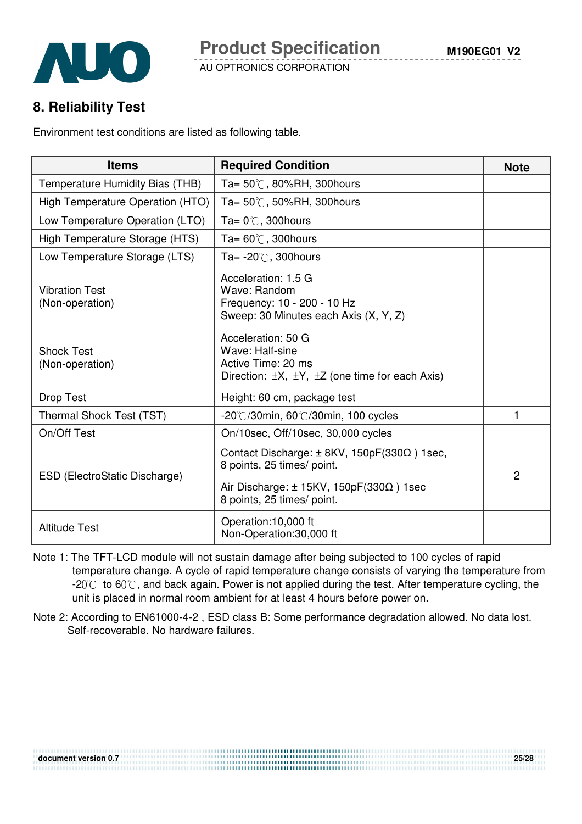## **8. Reliability Test**

Environment test conditions are listed as following table.

| <b>Items</b>                             | <b>Required Condition</b>                                                                                                      | <b>Note</b>    |
|------------------------------------------|--------------------------------------------------------------------------------------------------------------------------------|----------------|
| Temperature Humidity Bias (THB)          | Ta= $50^{\circ}$ C, 80%RH, 300 hours                                                                                           |                |
| High Temperature Operation (HTO)         | Ta= $50^{\circ}$ C, 50%RH, 300 hours                                                                                           |                |
| Low Temperature Operation (LTO)          | Ta= $0^{\circ}$ C, 300 hours                                                                                                   |                |
| High Temperature Storage (HTS)           | Ta= $60^{\circ}$ C, 300 hours                                                                                                  |                |
| Low Temperature Storage (LTS)            | Ta= $-20^{\circ}$ C, 300 hours                                                                                                 |                |
| <b>Vibration Test</b><br>(Non-operation) | Acceleration: 1.5 G<br>Wave: Random<br>Frequency: 10 - 200 - 10 Hz<br>Sweep: 30 Minutes each Axis (X, Y, Z)                    |                |
| <b>Shock Test</b><br>(Non-operation)     | Acceleration: 50 G<br>Wave: Half-sine<br>Active Time: 20 ms<br>Direction: $\pm X$ , $\pm Y$ , $\pm Z$ (one time for each Axis) |                |
| Drop Test                                | Height: 60 cm, package test                                                                                                    |                |
| Thermal Shock Test (TST)                 | $-20^{\circ}$ C/30min, 60 $^{\circ}$ C/30min, 100 cycles                                                                       | 1              |
| On/Off Test                              | On/10sec, Off/10sec, 30,000 cycles                                                                                             |                |
|                                          | Contact Discharge: $\pm$ 8KV, 150pF(330 $\Omega$ ) 1sec,<br>8 points, 25 times/ point.                                         | $\overline{2}$ |
| ESD (ElectroStatic Discharge)            | Air Discharge: $\pm$ 15KV, 150pF(330 $\Omega$ ) 1sec<br>8 points, 25 times/ point.                                             |                |
| <b>Altitude Test</b>                     | Operation:10,000 ft<br>Non-Operation:30,000 ft                                                                                 |                |

- Note 1: The TFT-LCD module will not sustain damage after being subjected to 100 cycles of rapid temperature change. A cycle of rapid temperature change consists of varying the temperature from  $-20^{\circ}$  to 60 $^{\circ}$ , and back again. Power is not applied during the test. After temperature cycling, the unit is placed in normal room ambient for at least 4 hours before power on.
- Note 2: According to EN61000-4-2 , ESD class B: Some performance degradation allowed. No data lost. Self-recoverable. No hardware failures.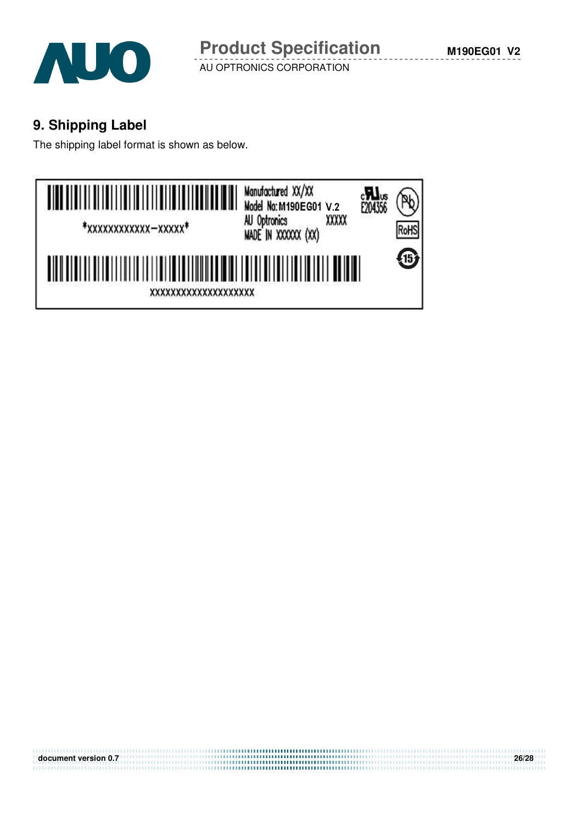

# **9. Shipping Label**

The shipping label format is shown as below.



| document version 0.7 | 26/28 |
|----------------------|-------|
|                      |       |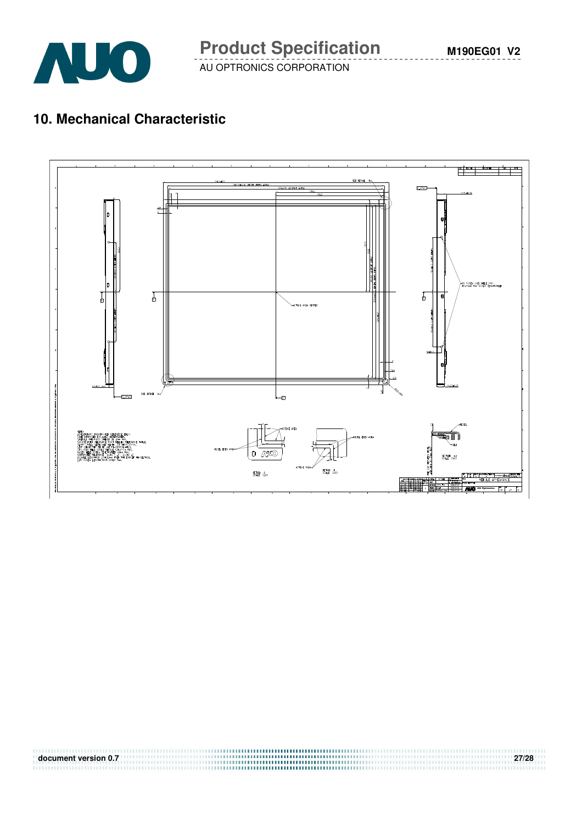

# **10. Mechanical Characteristic**